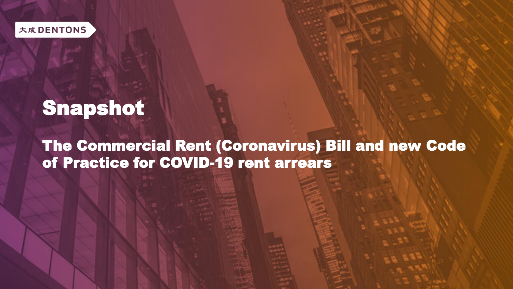

# Snapshot

The Commercial Rent (Coronavirus) Bill and new Code of Practice for COVID-19 rent arrears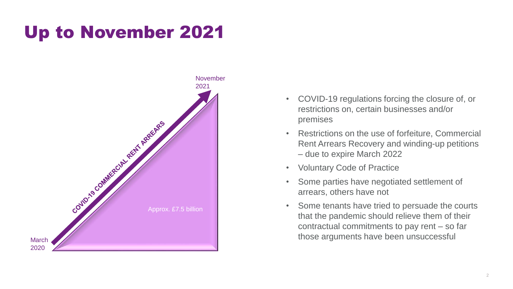## Up to November 2021



- COVID-19 regulations forcing the closure of, or restrictions on, certain businesses and/or premises
- Restrictions on the use of forfeiture, Commercial Rent Arrears Recovery and winding-up petitions – due to expire March 2022
- Voluntary Code of Practice
- Some parties have negotiated settlement of arrears, others have not
- Some tenants have tried to persuade the courts that the pandemic should relieve them of their contractual commitments to pay rent – so far those arguments have been unsuccessful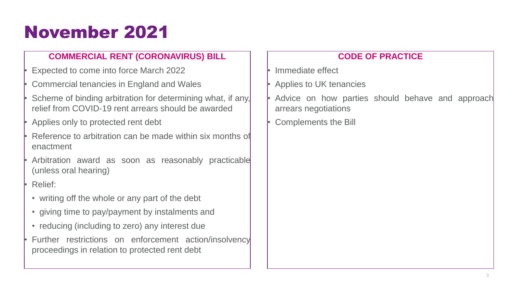## November 2021

#### **COMMERCIAL RENT (CORONAVIRUS) BILL**

- Expected to come into force March 2022
- Commercial tenancies in England and Wales
- Scheme of binding arbitration for determining what, if any, relief from COVID-19 rent arrears should be awarded
- Applies only to protected rent debt
- Reference to arbitration can be made within six months of enactment
- Arbitration award as soon as reasonably practicable (unless oral hearing)
- Relief:
- writing off the whole or any part of the debt
- giving time to pay/payment by instalments and
- reducing (including to zero) any interest due
- Further restrictions on enforcement action/insolvency proceedings in relation to protected rent debt

#### **CODE OF PRACTICE**

- Immediate effect
- Applies to UK tenancies
- Advice on how parties should behave and approach arrears negotiations
- Complements the Bill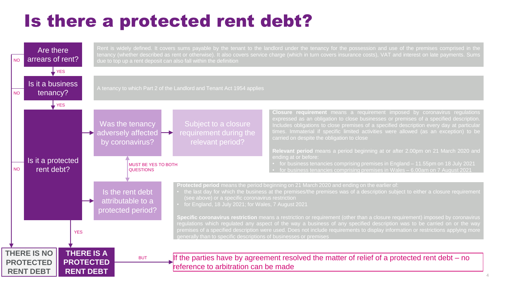## Is there a protected rent debt?

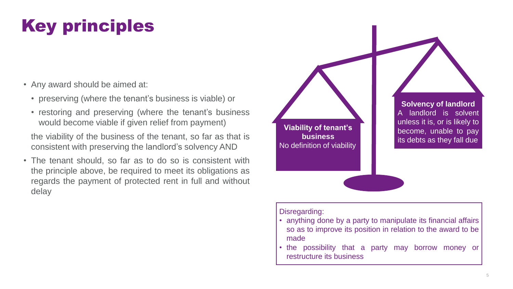## Key principles

- Any award should be aimed at:
	- preserving (where the tenant's business is viable) or
	- restoring and preserving (where the tenant's business would become viable if given relief from payment)

the viability of the business of the tenant, so far as that is consistent with preserving the landlord's solvency AND

• The tenant should, so far as to do so is consistent with the principle above, be required to meet its obligations as regards the payment of protected rent in full and without delay

**Viability of tenant's business** No definition of viability

**Solvency of landlord** A landlord is solvent unless it is, or is likely to become, unable to pay its debts as they fall due

#### Disregarding:

- anything done by a party to manipulate its financial affairs so as to improve its position in relation to the award to be made
- the possibility that a party may borrow money or restructure its business.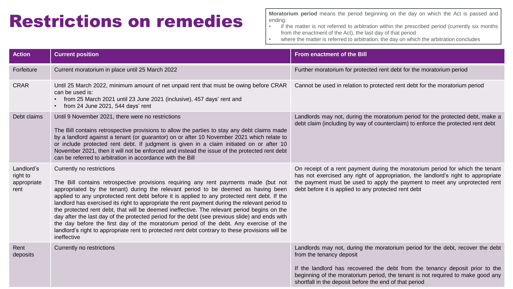### Restrictions on remedies

**Moratorium period** means the period beginning on the day on which the Act is passed and ending:

- if the matter is not referred to arbitration within the prescribed period (currently six months from the enactment of the Act), the last day of that period
- where the matter is referred to arbitration, the day on which the arbitration concludes

| <b>Action</b>                                 | <b>Current position</b>                                                                                                                                                                                                                                                                                                                                                                                                                                                                                                                                                                                                                                                                                                                                                                                                 | <b>From enactment of the Bill</b>                                                                                                                                                                                                                                                                                                       |
|-----------------------------------------------|-------------------------------------------------------------------------------------------------------------------------------------------------------------------------------------------------------------------------------------------------------------------------------------------------------------------------------------------------------------------------------------------------------------------------------------------------------------------------------------------------------------------------------------------------------------------------------------------------------------------------------------------------------------------------------------------------------------------------------------------------------------------------------------------------------------------------|-----------------------------------------------------------------------------------------------------------------------------------------------------------------------------------------------------------------------------------------------------------------------------------------------------------------------------------------|
| Forfeiture                                    | Current moratorium in place until 25 March 2022                                                                                                                                                                                                                                                                                                                                                                                                                                                                                                                                                                                                                                                                                                                                                                         | Further moratorium for protected rent debt for the moratorium period                                                                                                                                                                                                                                                                    |
| <b>CRAR</b>                                   | Until 25 March 2022, minimum amount of net unpaid rent that must be owing before CRAR<br>can be used is:<br>• from 25 March 2021 until 23 June 2021 (inclusive), 457 days' rent and<br>• from 24 June 2021, 544 days' rent                                                                                                                                                                                                                                                                                                                                                                                                                                                                                                                                                                                              | Cannot be used in relation to protected rent debt for the moratorium period                                                                                                                                                                                                                                                             |
| Debt claims                                   | Until 9 November 2021, there were no restrictions<br>The Bill contains retrospective provisions to allow the parties to stay any debt claims made<br>by a landlord against a tenant (or guarantor) on or after 10 November 2021 which relate to<br>or include protected rent debt. If judgment is given in a claim initiated on or after 10<br>November 2021, then it will not be enforced and instead the issue of the protected rent debt<br>can be referred to arbitration in accordance with the Bill                                                                                                                                                                                                                                                                                                               | Landlords may not, during the moratorium period for the protected debt, make a<br>debt claim (including by way of counterclaim) to enforce the protected rent debt                                                                                                                                                                      |
| Landlord's<br>right to<br>appropriate<br>rent | Currently no restrictions<br>The Bill contains retrospective provisions requiring any rent payments made (but not<br>appropriated by the tenant) during the relevant period to be deemed as having been<br>applied to any unprotected rent debt before it is applied to any protected rent debt. If the<br>landlord has exercised its right to appropriate the rent payment during the relevant period to<br>the protected rent debt, that will be deemed ineffective. The relevant period begins on the<br>day after the last day of the protected period for the debt (see previous slide) and ends with<br>the day before the first day of the moratorium period of the debt. Any exercise of the<br>landlord's right to appropriate rent to protected rent debt contrary to these provisions will be<br>ineffective | On receipt of a rent payment during the moratorium period for which the tenant<br>has not exercised any right of appropriation, the landlord's right to appropriate<br>the payment must be used to apply the payment to meet any unprotected rent<br>debt before it is applied to any protected rent debt                               |
| Rent<br>deposits                              | Currently no restrictions                                                                                                                                                                                                                                                                                                                                                                                                                                                                                                                                                                                                                                                                                                                                                                                               | Landlords may not, during the moratorium period for the debt, recover the debt<br>from the tenancy deposit<br>If the landlord has recovered the debt from the tenancy deposit prior to the<br>beginning of the moratorium period, the tenant is not required to make good any<br>shortfall in the deposit before the end of that period |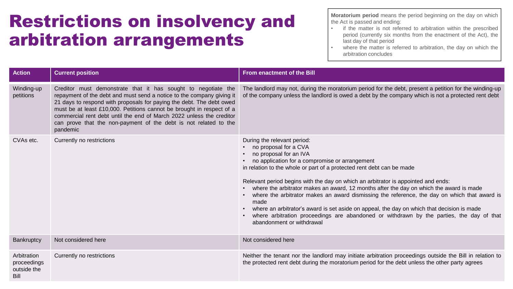### Restrictions on insolvency and arbitration arrangements

**Moratorium period** means the period beginning on the day on which the Act is passed and ending:

- if the matter is not referred to arbitration within the prescribed period (currently six months from the enactment of the Act), the last day of that period
- where the matter is referred to arbitration, the day on which the arbitration concludes

| <b>Action</b>                                     | <b>Current position</b>                                                                                                                                                                                                                                                                                                                                                                                                                         | <b>From enactment of the Bill</b>                                                                                                                                                                                                                                                                                                                                                                                                                                                                                                                                                                                                                                                                                        |
|---------------------------------------------------|-------------------------------------------------------------------------------------------------------------------------------------------------------------------------------------------------------------------------------------------------------------------------------------------------------------------------------------------------------------------------------------------------------------------------------------------------|--------------------------------------------------------------------------------------------------------------------------------------------------------------------------------------------------------------------------------------------------------------------------------------------------------------------------------------------------------------------------------------------------------------------------------------------------------------------------------------------------------------------------------------------------------------------------------------------------------------------------------------------------------------------------------------------------------------------------|
| Winding-up<br>petitions                           | Creditor must demonstrate that it has sought to negotiate the<br>repayment of the debt and must send a notice to the company giving it<br>21 days to respond with proposals for paying the debt. The debt owed<br>must be at least £10,000. Petitions cannot be brought in respect of a<br>commercial rent debt until the end of March 2022 unless the creditor<br>can prove that the non-payment of the debt is not related to the<br>pandemic | The landlord may not, during the moratorium period for the debt, present a petition for the winding-up<br>of the company unless the landlord is owed a debt by the company which is not a protected rent debt                                                                                                                                                                                                                                                                                                                                                                                                                                                                                                            |
| CVAs etc.                                         | Currently no restrictions                                                                                                                                                                                                                                                                                                                                                                                                                       | During the relevant period:<br>no proposal for a CVA<br>no proposal for an IVA<br>no application for a compromise or arrangement<br>in relation to the whole or part of a protected rent debt can be made<br>Relevant period begins with the day on which an arbitrator is appointed and ends:<br>where the arbitrator makes an award, 12 months after the day on which the award is made<br>where the arbitrator makes an award dismissing the reference, the day on which that award is<br>made<br>where an arbitrator's award is set aside on appeal, the day on which that decision is made<br>where arbitration proceedings are abandoned or withdrawn by the parties, the day of that<br>abandonment or withdrawal |
| Bankruptcy                                        | Not considered here                                                                                                                                                                                                                                                                                                                                                                                                                             | Not considered here                                                                                                                                                                                                                                                                                                                                                                                                                                                                                                                                                                                                                                                                                                      |
| Arbitration<br>proceedings<br>outside the<br>Bill | Currently no restrictions                                                                                                                                                                                                                                                                                                                                                                                                                       | Neither the tenant nor the landlord may initiate arbitration proceedings outside the Bill in relation to<br>the protected rent debt during the moratorium period for the debt unless the other party agrees                                                                                                                                                                                                                                                                                                                                                                                                                                                                                                              |